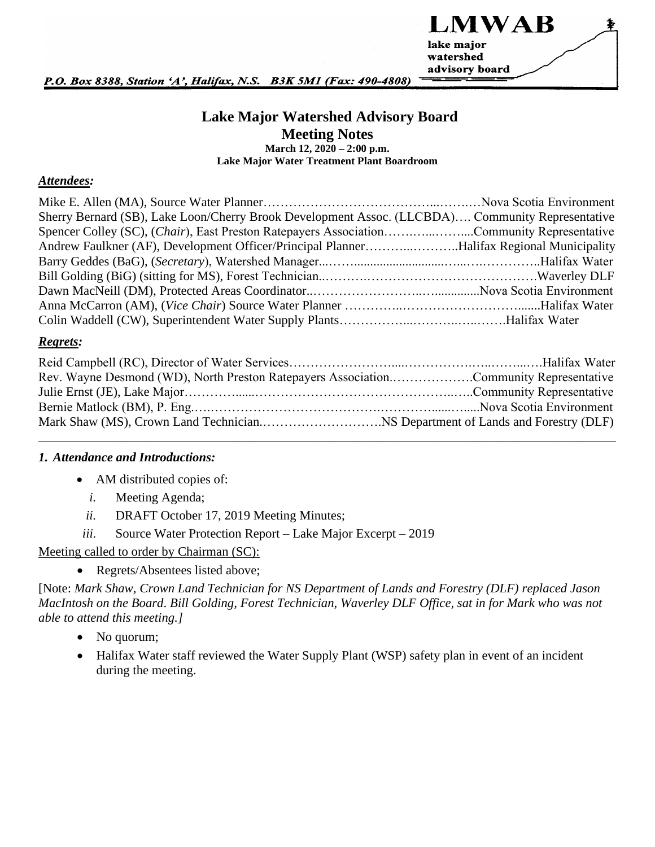

P.O. Box 8388, Station 'A', Halifax, N.S. B3K 5M1 (Fax: 490-4808)

### **Lake Major Watershed Advisory Board Meeting Notes March 12, 2020 – 2:00 p.m. Lake Major Water Treatment Plant Boardroom**

#### *Attendees:*

| Sherry Bernard (SB), Lake Loon/Cherry Brook Development Assoc. (LLCBDA) Community Representative |  |
|--------------------------------------------------------------------------------------------------|--|
| Spencer Colley (SC), (Chair), East Preston Ratepayers AssociationCommunity Representative        |  |
| Andrew Faulkner (AF), Development Officer/Principal PlannerHalifax Regional Municipality         |  |
|                                                                                                  |  |
|                                                                                                  |  |
|                                                                                                  |  |
|                                                                                                  |  |
|                                                                                                  |  |

#### *Regrets:*

| Rev. Wayne Desmond (WD), North Preston Ratepayers AssociationCommunity Representative |  |
|---------------------------------------------------------------------------------------|--|
|                                                                                       |  |
|                                                                                       |  |
|                                                                                       |  |
|                                                                                       |  |

#### *1. Attendance and Introductions:*

- AM distributed copies of:
	- *i.* Meeting Agenda;
	- *ii.* DRAFT October 17, 2019 Meeting Minutes;
- *iii.* Source Water Protection Report Lake Major Excerpt 2019

#### Meeting called to order by Chairman (SC):

• Regrets/Absentees listed above;

[Note: *Mark Shaw, Crown Land Technician for NS Department of Lands and Forestry (DLF) replaced Jason MacIntosh on the Board*. *Bill Golding, Forest Technician, Waverley DLF Office, sat in for Mark who was not able to attend this meeting.]*

- No quorum;
- Halifax Water staff reviewed the Water Supply Plant (WSP) safety plan in event of an incident during the meeting.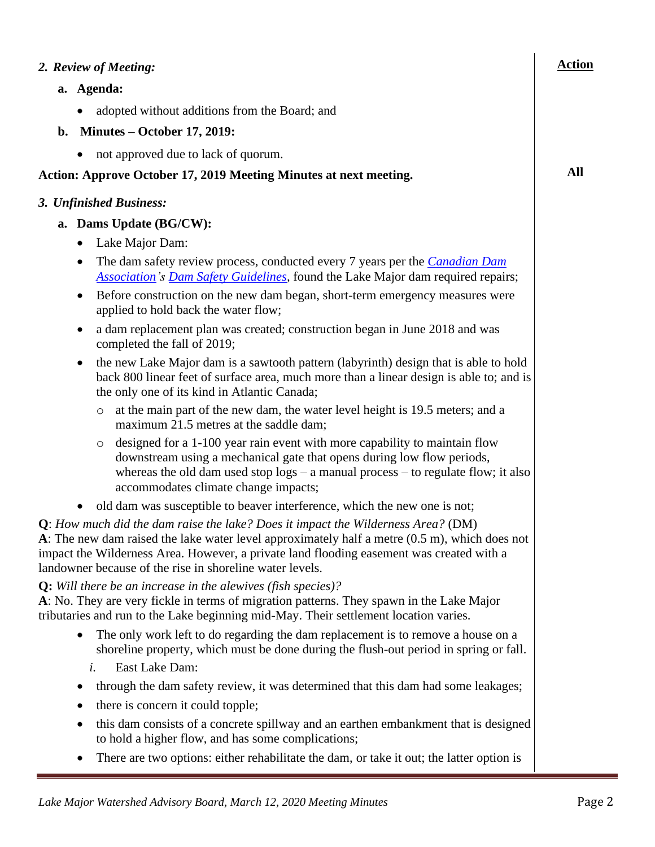|    | 2. Review of Meeting:                                                                                                                                                                                                                                                                                                                                | <b>Action</b> |
|----|------------------------------------------------------------------------------------------------------------------------------------------------------------------------------------------------------------------------------------------------------------------------------------------------------------------------------------------------------|---------------|
|    | a. Agenda:                                                                                                                                                                                                                                                                                                                                           |               |
|    | adopted without additions from the Board; and                                                                                                                                                                                                                                                                                                        |               |
| b. | Minutes – October 17, 2019:                                                                                                                                                                                                                                                                                                                          |               |
|    | not approved due to lack of quorum.                                                                                                                                                                                                                                                                                                                  |               |
|    | <b>Action: Approve October 17, 2019 Meeting Minutes at next meeting.</b>                                                                                                                                                                                                                                                                             | All           |
|    | 3. Unfinished Business:                                                                                                                                                                                                                                                                                                                              |               |
|    | a. Dams Update (BG/CW):                                                                                                                                                                                                                                                                                                                              |               |
|    | Lake Major Dam:<br>$\bullet$                                                                                                                                                                                                                                                                                                                         |               |
|    | The dam safety review process, conducted every 7 years per the <i>Canadian Dam</i><br>$\bullet$<br><b>Association's Dam Safety Guidelines</b> , found the Lake Major dam required repairs;                                                                                                                                                           |               |
|    | Before construction on the new dam began, short-term emergency measures were<br>$\bullet$<br>applied to hold back the water flow;                                                                                                                                                                                                                    |               |
|    | a dam replacement plan was created; construction began in June 2018 and was<br>completed the fall of 2019;                                                                                                                                                                                                                                           |               |
|    | the new Lake Major dam is a sawtooth pattern (labyrinth) design that is able to hold<br>$\bullet$<br>back 800 linear feet of surface area, much more than a linear design is able to; and is<br>the only one of its kind in Atlantic Canada;                                                                                                         |               |
|    | at the main part of the new dam, the water level height is 19.5 meters; and a<br>$\circ$<br>maximum 21.5 metres at the saddle dam;                                                                                                                                                                                                                   |               |
|    | designed for a 1-100 year rain event with more capability to maintain flow<br>$\circ$<br>downstream using a mechanical gate that opens during low flow periods,<br>whereas the old dam used stop $\log s - a$ manual process – to regulate flow; it also<br>accommodates climate change impacts;                                                     |               |
|    | old dam was susceptible to beaver interference, which the new one is not;                                                                                                                                                                                                                                                                            |               |
|    | Q: How much did the dam raise the lake? Does it impact the Wilderness Area? (DM)<br>A: The new dam raised the lake water level approximately half a metre $(0.5 \text{ m})$ , which does not<br>impact the Wilderness Area. However, a private land flooding easement was created with a<br>landowner because of the rise in shoreline water levels. |               |
|    | <b>Q:</b> Will there be an increase in the alewives (fish species)?<br>A: No. They are very fickle in terms of migration patterns. They spawn in the Lake Major<br>tributaries and run to the Lake beginning mid-May. Their settlement location varies.                                                                                              |               |
|    | The only work left to do regarding the dam replacement is to remove a house on a<br>$\bullet$<br>shoreline property, which must be done during the flush-out period in spring or fall.                                                                                                                                                               |               |
|    | East Lake Dam:<br>i.                                                                                                                                                                                                                                                                                                                                 |               |
|    | through the dam safety review, it was determined that this dam had some leakages;                                                                                                                                                                                                                                                                    |               |
|    | there is concern it could topple;<br>$\bullet$                                                                                                                                                                                                                                                                                                       |               |
|    | this dam consists of a concrete spillway and an earthen embankment that is designed<br>$\bullet$<br>to hold a higher flow, and has some complications;                                                                                                                                                                                               |               |
|    | There are two options: either rehabilitate the dam, or take it out; the latter option is                                                                                                                                                                                                                                                             |               |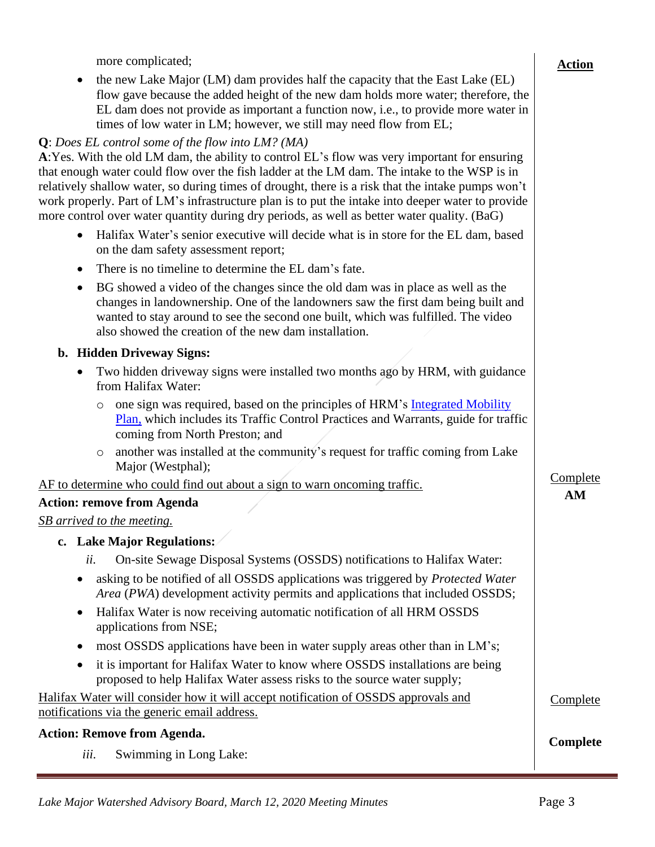| more complicated;                                                                                                                                                                                                                                                                                                                                                                                                                                                                                                                                           | <b>Action</b> |
|-------------------------------------------------------------------------------------------------------------------------------------------------------------------------------------------------------------------------------------------------------------------------------------------------------------------------------------------------------------------------------------------------------------------------------------------------------------------------------------------------------------------------------------------------------------|---------------|
| the new Lake Major (LM) dam provides half the capacity that the East Lake (EL)<br>$\bullet$<br>flow gave because the added height of the new dam holds more water; therefore, the<br>EL dam does not provide as important a function now, i.e., to provide more water in<br>times of low water in LM; however, we still may need flow from EL;                                                                                                                                                                                                              |               |
| Q: Does EL control some of the flow into LM? (MA)<br>A: Yes. With the old LM dam, the ability to control EL's flow was very important for ensuring<br>that enough water could flow over the fish ladder at the LM dam. The intake to the WSP is in<br>relatively shallow water, so during times of drought, there is a risk that the intake pumps won't<br>work properly. Part of LM's infrastructure plan is to put the intake into deeper water to provide<br>more control over water quantity during dry periods, as well as better water quality. (BaG) |               |
| Halifax Water's senior executive will decide what is in store for the EL dam, based<br>$\bullet$<br>on the dam safety assessment report;                                                                                                                                                                                                                                                                                                                                                                                                                    |               |
| There is no timeline to determine the EL dam's fate.<br>$\bullet$                                                                                                                                                                                                                                                                                                                                                                                                                                                                                           |               |
| BG showed a video of the changes since the old dam was in place as well as the<br>$\bullet$<br>changes in landownership. One of the landowners saw the first dam being built and<br>wanted to stay around to see the second one built, which was fulfilled. The video<br>also showed the creation of the new dam installation.                                                                                                                                                                                                                              |               |
| b. Hidden Driveway Signs:                                                                                                                                                                                                                                                                                                                                                                                                                                                                                                                                   |               |
| Two hidden driveway signs were installed two months ago by HRM, with guidance<br>$\bullet$<br>from Halifax Water:                                                                                                                                                                                                                                                                                                                                                                                                                                           |               |
| one sign was required, based on the principles of HRM's Integrated Mobility<br>$\circ$<br>Plan, which includes its Traffic Control Practices and Warrants, guide for traffic<br>coming from North Preston; and                                                                                                                                                                                                                                                                                                                                              |               |
| another was installed at the community's request for traffic coming from Lake<br>$\circ$<br>Major (Westphal);                                                                                                                                                                                                                                                                                                                                                                                                                                               |               |
| AF to determine who could find out about a sign to warn oncoming traffic.                                                                                                                                                                                                                                                                                                                                                                                                                                                                                   | Complete      |
| <b>Action: remove from Agenda</b>                                                                                                                                                                                                                                                                                                                                                                                                                                                                                                                           | AM            |
| <b>SB</b> arrived to the meeting.                                                                                                                                                                                                                                                                                                                                                                                                                                                                                                                           |               |
| c. Lake Major Regulations:                                                                                                                                                                                                                                                                                                                                                                                                                                                                                                                                  |               |
| On-site Sewage Disposal Systems (OSSDS) notifications to Halifax Water:<br>ii.                                                                                                                                                                                                                                                                                                                                                                                                                                                                              |               |
| asking to be notified of all OSSDS applications was triggered by Protected Water<br>Area (PWA) development activity permits and applications that included OSSDS;                                                                                                                                                                                                                                                                                                                                                                                           |               |
| Halifax Water is now receiving automatic notification of all HRM OSSDS<br>$\bullet$<br>applications from NSE;                                                                                                                                                                                                                                                                                                                                                                                                                                               |               |
| most OSSDS applications have been in water supply areas other than in LM's;                                                                                                                                                                                                                                                                                                                                                                                                                                                                                 |               |
| it is important for Halifax Water to know where OSSDS installations are being<br>proposed to help Halifax Water assess risks to the source water supply;                                                                                                                                                                                                                                                                                                                                                                                                    |               |
| Halifax Water will consider how it will accept notification of OSSDS approvals and<br>notifications via the generic email address.                                                                                                                                                                                                                                                                                                                                                                                                                          | Complete      |
| <b>Action: Remove from Agenda.</b>                                                                                                                                                                                                                                                                                                                                                                                                                                                                                                                          |               |
| iii.<br>Swimming in Long Lake:                                                                                                                                                                                                                                                                                                                                                                                                                                                                                                                              | Complete      |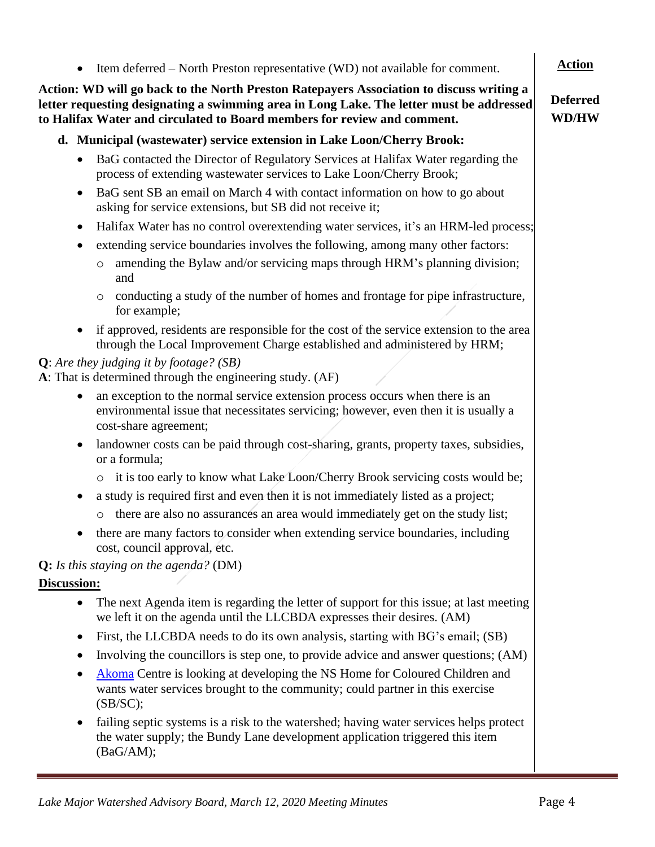# **to Halifax Water and circulated to Board members for review and comment. d. Municipal (wastewater) service extension in Lake Loon/Cherry Brook:**

• BaG contacted the Director of Regulatory Services at Halifax Water regarding the process of extending wastewater services to Lake Loon/Cherry Brook;

• Item deferred – North Preston representative (WD) not available for comment.

**Action: WD will go back to the North Preston Ratepayers Association to discuss writing a letter requesting designating a swimming area in Long Lake. The letter must be addressed** 

- BaG sent SB an email on March 4 with contact information on how to go about asking for service extensions, but SB did not receive it;
- Halifax Water has no control overextending water services, it's an HRM-led process;
- extending service boundaries involves the following, among many other factors:
	- o amending the Bylaw and/or servicing maps through HRM's planning division; and
	- o conducting a study of the number of homes and frontage for pipe infrastructure, for example;
- if approved, residents are responsible for the cost of the service extension to the area through the Local Improvement Charge established and administered by HRM;

## **Q**: *Are they judging it by footage? (SB)*

**A**: That is determined through the engineering study. (AF)

- an exception to the normal service extension process occurs when there is an environmental issue that necessitates servicing; however, even then it is usually a cost-share agreement;
- landowner costs can be paid through cost-sharing, grants, property taxes, subsidies, or a formula;
	- o it is too early to know what Lake Loon/Cherry Brook servicing costs would be;
- a study is required first and even then it is not immediately listed as a project;
	- o there are also no assurances an area would immediately get on the study list;
- there are many factors to consider when extending service boundaries, including cost, council approval, etc.

### **Q:** *Is this staying on the agenda?* (DM)

### **Discussion:**

- The next Agenda item is regarding the letter of support for this issue; at last meeting we left it on the agenda until the LLCBDA expresses their desires. (AM)
- First, the LLCBDA needs to do its own analysis, starting with BG's email; (SB)
- Involving the councillors is step one, to provide advice and answer questions; (AM)
- [Akoma](https://www.akoma.ca/) Centre is looking at developing the NS Home for Coloured Children and wants water services brought to the community; could partner in this exercise  $(SB/SC);$
- failing septic systems is a risk to the watershed; having water services helps protect the water supply; the Bundy Lane development application triggered this item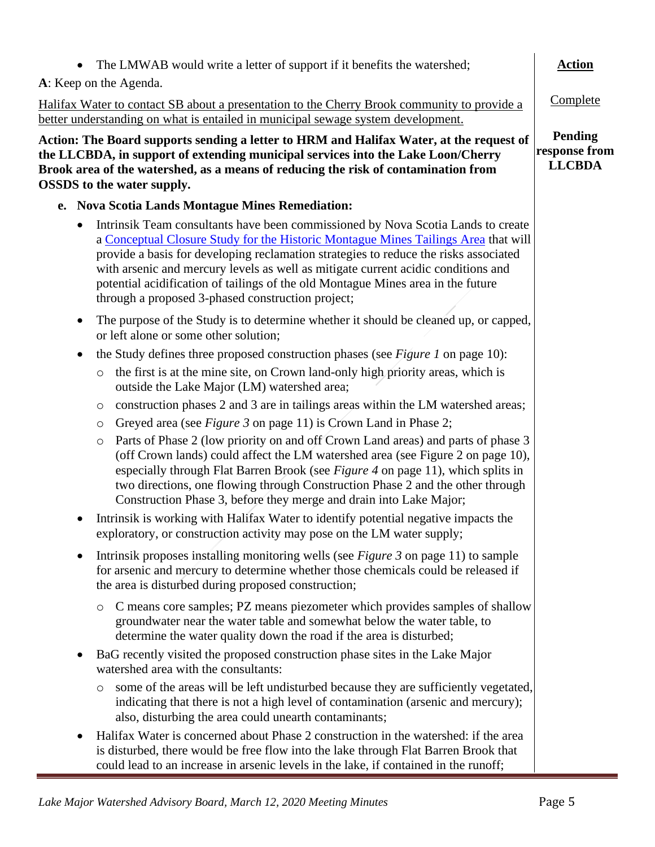| The LMWAB would write a letter of support if it benefits the watershed;                                                                                                                                                                                                                                                                                                                                                                                                                      | <b>Action</b>                                    |  |  |
|----------------------------------------------------------------------------------------------------------------------------------------------------------------------------------------------------------------------------------------------------------------------------------------------------------------------------------------------------------------------------------------------------------------------------------------------------------------------------------------------|--------------------------------------------------|--|--|
| A: Keep on the Agenda.                                                                                                                                                                                                                                                                                                                                                                                                                                                                       |                                                  |  |  |
| Halifax Water to contact SB about a presentation to the Cherry Brook community to provide a<br>better understanding on what is entailed in municipal sewage system development.                                                                                                                                                                                                                                                                                                              | Complete                                         |  |  |
| Action: The Board supports sending a letter to HRM and Halifax Water, at the request of<br>the LLCBDA, in support of extending municipal services into the Lake Loon/Cherry<br>Brook area of the watershed, as a means of reducing the risk of contamination from<br><b>OSSDS</b> to the water supply.                                                                                                                                                                                       | <b>Pending</b><br>response from<br><b>LLCBDA</b> |  |  |
| e. Nova Scotia Lands Montague Mines Remediation:                                                                                                                                                                                                                                                                                                                                                                                                                                             |                                                  |  |  |
| Intrinsik Team consultants have been commissioned by Nova Scotia Lands to create<br>a Conceptual Closure Study for the Historic Montague Mines Tailings Area that will<br>provide a basis for developing reclamation strategies to reduce the risks associated<br>with arsenic and mercury levels as well as mitigate current acidic conditions and<br>potential acidification of tailings of the old Montague Mines area in the future<br>through a proposed 3-phased construction project; |                                                  |  |  |
| The purpose of the Study is to determine whether it should be cleaned up, or capped,<br>٠<br>or left alone or some other solution;                                                                                                                                                                                                                                                                                                                                                           |                                                  |  |  |
| the Study defines three proposed construction phases (see Figure 1 on page 10):<br>$\bullet$                                                                                                                                                                                                                                                                                                                                                                                                 |                                                  |  |  |
| the first is at the mine site, on Crown land-only high priority areas, which is<br>$\circ$<br>outside the Lake Major (LM) watershed area;                                                                                                                                                                                                                                                                                                                                                    |                                                  |  |  |
| construction phases 2 and 3 are in tailings areas within the LM watershed areas;<br>$\circ$                                                                                                                                                                                                                                                                                                                                                                                                  |                                                  |  |  |
| Greyed area (see Figure 3 on page 11) is Crown Land in Phase 2;<br>$\circ$                                                                                                                                                                                                                                                                                                                                                                                                                   |                                                  |  |  |
| Parts of Phase 2 (low priority on and off Crown Land areas) and parts of phase 3<br>$\circ$<br>(off Crown lands) could affect the LM watershed area (see Figure 2 on page 10),<br>especially through Flat Barren Brook (see Figure 4 on page 11), which splits in<br>two directions, one flowing through Construction Phase 2 and the other through<br>Construction Phase 3, before they merge and drain into Lake Major;                                                                    |                                                  |  |  |
| Intrinsik is working with Halifax Water to identify potential negative impacts the<br>exploratory, or construction activity may pose on the LM water supply;                                                                                                                                                                                                                                                                                                                                 |                                                  |  |  |
| Intrinsik proposes installing monitoring wells (see <i>Figure 3</i> on page 11) to sample<br>٠<br>for arsenic and mercury to determine whether those chemicals could be released if<br>the area is disturbed during proposed construction;                                                                                                                                                                                                                                                   |                                                  |  |  |
| C means core samples; PZ means piezometer which provides samples of shallow<br>$\circ$<br>groundwater near the water table and somewhat below the water table, to<br>determine the water quality down the road if the area is disturbed;                                                                                                                                                                                                                                                     |                                                  |  |  |
| BaG recently visited the proposed construction phase sites in the Lake Major<br>$\bullet$<br>watershed area with the consultants:                                                                                                                                                                                                                                                                                                                                                            |                                                  |  |  |
| some of the areas will be left undisturbed because they are sufficiently vegetated,<br>$\circ$<br>indicating that there is not a high level of contamination (arsenic and mercury);<br>also, disturbing the area could unearth contaminants;                                                                                                                                                                                                                                                 |                                                  |  |  |
| Halifax Water is concerned about Phase 2 construction in the watershed: if the area<br>$\bullet$<br>is disturbed, there would be free flow into the lake through Flat Barren Brook that<br>could lead to an increase in arsenic levels in the lake, if contained in the runoff;                                                                                                                                                                                                              |                                                  |  |  |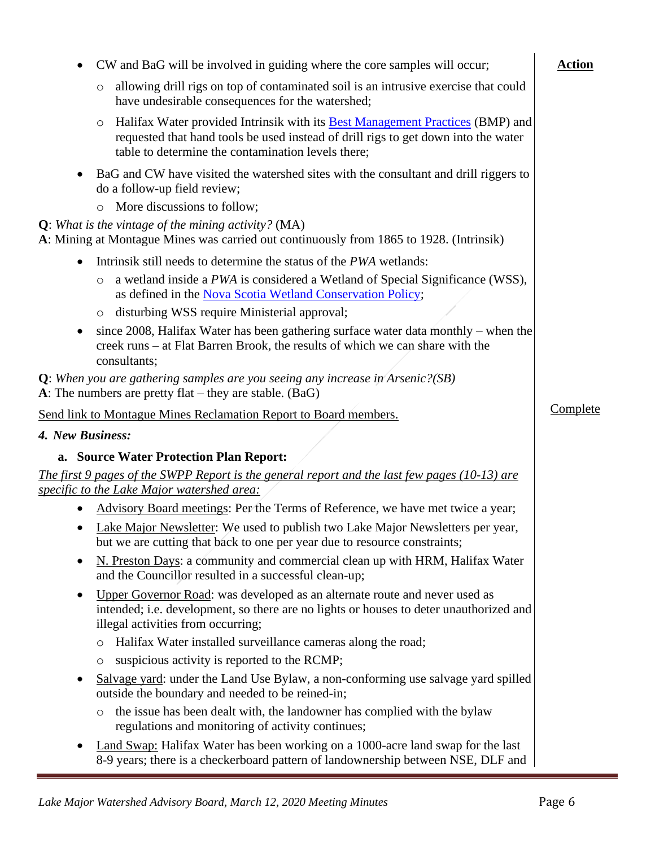|                  | CW and BaG will be involved in guiding where the core samples will occur;                                                                                                                                                                   | <b>Action</b> |
|------------------|---------------------------------------------------------------------------------------------------------------------------------------------------------------------------------------------------------------------------------------------|---------------|
|                  | allowing drill rigs on top of contaminated soil is an intrusive exercise that could<br>$\circ$<br>have undesirable consequences for the watershed;                                                                                          |               |
|                  | Halifax Water provided Intrinsik with its <b>Best Management Practices</b> (BMP) and<br>$\circ$<br>requested that hand tools be used instead of drill rigs to get down into the water<br>table to determine the contamination levels there; |               |
| $\bullet$        | BaG and CW have visited the watershed sites with the consultant and drill riggers to<br>do a follow-up field review;                                                                                                                        |               |
|                  | More discussions to follow;<br>$\circ$                                                                                                                                                                                                      |               |
|                  | <b>Q</b> : What is the vintage of the mining activity? (MA)<br>A: Mining at Montague Mines was carried out continuously from 1865 to 1928. (Intrinsik)                                                                                      |               |
|                  | Intrinsik still needs to determine the status of the PWA wetlands:                                                                                                                                                                          |               |
|                  | a wetland inside a PWA is considered a Wetland of Special Significance (WSS),<br>$\circ$<br>as defined in the Nova Scotia Wetland Conservation Policy;                                                                                      |               |
|                  | disturbing WSS require Ministerial approval;<br>$\circ$                                                                                                                                                                                     |               |
|                  | since 2008, Halifax Water has been gathering surface water data monthly $-$ when the<br>creek runs – at Flat Barren Brook, the results of which we can share with the<br>consultants;                                                       |               |
|                  | <b>Q</b> : When you are gathering samples are you seeing any increase in Arsenic?(SB)<br>A: The numbers are pretty flat – they are stable. (BaG)                                                                                            |               |
|                  | Send link to Montague Mines Reclamation Report to Board members.                                                                                                                                                                            | Complete      |
| 4. New Business: |                                                                                                                                                                                                                                             |               |
|                  | a. Source Water Protection Plan Report:                                                                                                                                                                                                     |               |
|                  | The first 9 pages of the SWPP Report is the general report and the last few pages (10-13) are<br>specific to the Lake Major watershed area:                                                                                                 |               |
|                  | Advisory Board meetings: Per the Terms of Reference, we have met twice a year;                                                                                                                                                              |               |
|                  | Lake Major Newsletter: We used to publish two Lake Major Newsletters per year,<br>but we are cutting that back to one per year due to resource constraints;                                                                                 |               |
|                  | N. Preston Days: a community and commercial clean up with HRM, Halifax Water<br>and the Councillor resulted in a successful clean-up;                                                                                                       |               |
| $\bullet$        | Upper Governor Road: was developed as an alternate route and never used as<br>intended; i.e. development, so there are no lights or houses to deter unauthorized and<br>illegal activities from occurring;                                  |               |
|                  | Halifax Water installed surveillance cameras along the road;<br>$\circ$                                                                                                                                                                     |               |
|                  | suspicious activity is reported to the RCMP;<br>$\circ$                                                                                                                                                                                     |               |
| $\bullet$        | Salvage yard: under the Land Use Bylaw, a non-conforming use salvage yard spilled<br>outside the boundary and needed to be reined-in;                                                                                                       |               |
|                  | the issue has been dealt with, the landowner has complied with the bylaw<br>$\circ$<br>regulations and monitoring of activity continues;                                                                                                    |               |
|                  | Land Swap: Halifax Water has been working on a 1000-acre land swap for the last<br>8-9 years; there is a checkerboard pattern of landownership between NSE, DLF and                                                                         |               |

Ė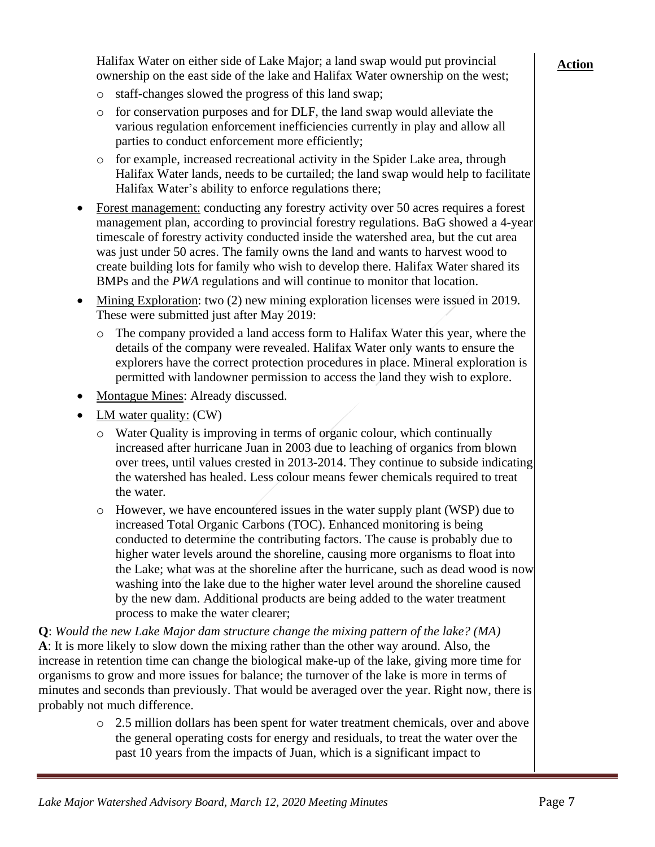Halifax Water on either side of Lake Major; a land swap would put provincial ownership on the east side of the lake and Halifax Water ownership on the west;

- o staff-changes slowed the progress of this land swap;
- o for conservation purposes and for DLF, the land swap would alleviate the various regulation enforcement inefficiencies currently in play and allow all parties to conduct enforcement more efficiently;
- o for example, increased recreational activity in the Spider Lake area, through Halifax Water lands, needs to be curtailed; the land swap would help to facilitate Halifax Water's ability to enforce regulations there;
- Forest management: conducting any forestry activity over 50 acres requires a forest management plan, according to provincial forestry regulations. BaG showed a 4-year timescale of forestry activity conducted inside the watershed area, but the cut area was just under 50 acres. The family owns the land and wants to harvest wood to create building lots for family who wish to develop there. Halifax Water shared its BMPs and the *PWA* regulations and will continue to monitor that location.
- Mining Exploration: two (2) new mining exploration licenses were issued in 2019. These were submitted just after May 2019:
	- o The company provided a land access form to Halifax Water this year, where the details of the company were revealed. Halifax Water only wants to ensure the explorers have the correct protection procedures in place. Mineral exploration is permitted with landowner permission to access the land they wish to explore.
- Montague Mines: Already discussed.
- LM water quality: (CW)
	- o Water Quality is improving in terms of organic colour, which continually increased after hurricane Juan in 2003 due to leaching of organics from blown over trees, until values crested in 2013-2014. They continue to subside indicating the watershed has healed. Less colour means fewer chemicals required to treat the water.
	- $\circ$  However, we have encountered issues in the water supply plant (WSP) due to increased Total Organic Carbons (TOC). Enhanced monitoring is being conducted to determine the contributing factors. The cause is probably due to higher water levels around the shoreline, causing more organisms to float into the Lake; what was at the shoreline after the hurricane, such as dead wood is now washing into the lake due to the higher water level around the shoreline caused by the new dam. Additional products are being added to the water treatment process to make the water clearer;

**Q**: *Would the new Lake Major dam structure change the mixing pattern of the lake? (MA)* **A**: It is more likely to slow down the mixing rather than the other way around. Also, the increase in retention time can change the biological make-up of the lake, giving more time for organisms to grow and more issues for balance; the turnover of the lake is more in terms of minutes and seconds than previously. That would be averaged over the year. Right now, there is probably not much difference.

> o 2.5 million dollars has been spent for water treatment chemicals, over and above the general operating costs for energy and residuals, to treat the water over the past 10 years from the impacts of Juan, which is a significant impact to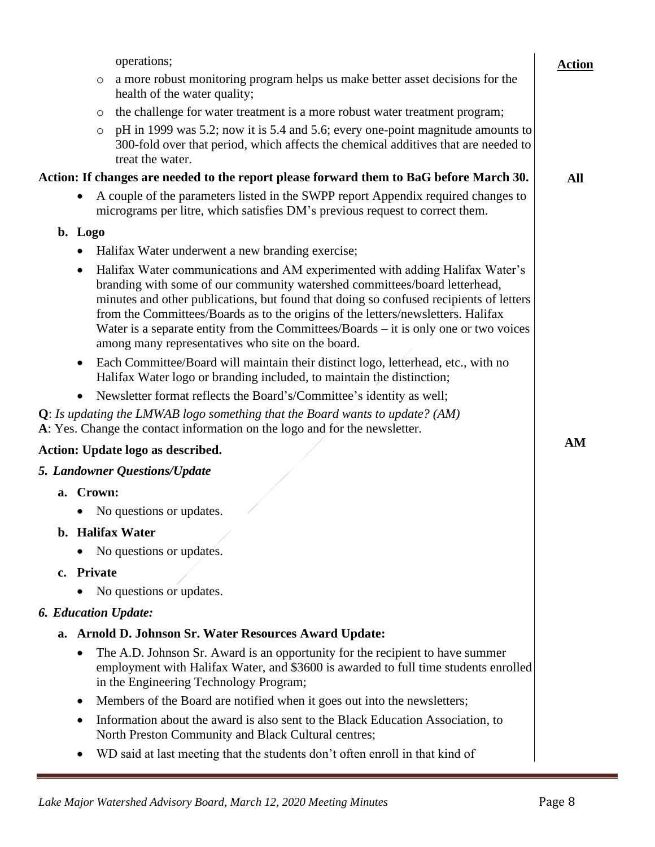|           |            | operations;                                                                                                                                                                                                                                                                                                                                                                                                                                                                             | <b>Action</b> |
|-----------|------------|-----------------------------------------------------------------------------------------------------------------------------------------------------------------------------------------------------------------------------------------------------------------------------------------------------------------------------------------------------------------------------------------------------------------------------------------------------------------------------------------|---------------|
|           | $\circ$    | a more robust monitoring program helps us make better asset decisions for the<br>health of the water quality;                                                                                                                                                                                                                                                                                                                                                                           |               |
|           | $\circ$    | the challenge for water treatment is a more robust water treatment program;                                                                                                                                                                                                                                                                                                                                                                                                             |               |
|           | $\circ$    | pH in 1999 was 5.2; now it is 5.4 and 5.6; every one-point magnitude amounts to<br>300-fold over that period, which affects the chemical additives that are needed to<br>treat the water.                                                                                                                                                                                                                                                                                               |               |
|           |            | Action: If changes are needed to the report please forward them to BaG before March 30.                                                                                                                                                                                                                                                                                                                                                                                                 | All           |
| $\bullet$ |            | A couple of the parameters listed in the SWPP report Appendix required changes to<br>micrograms per litre, which satisfies DM's previous request to correct them.                                                                                                                                                                                                                                                                                                                       |               |
| b. Logo   |            |                                                                                                                                                                                                                                                                                                                                                                                                                                                                                         |               |
| $\bullet$ |            | Halifax Water underwent a new branding exercise;                                                                                                                                                                                                                                                                                                                                                                                                                                        |               |
| ٠         |            | Halifax Water communications and AM experimented with adding Halifax Water's<br>branding with some of our community watershed committees/board letterhead,<br>minutes and other publications, but found that doing so confused recipients of letters<br>from the Committees/Boards as to the origins of the letters/newsletters. Halifax<br>Water is a separate entity from the Committees/Boards $-$ it is only one or two voices<br>among many representatives who site on the board. |               |
| $\bullet$ |            | Each Committee/Board will maintain their distinct logo, letterhead, etc., with no<br>Halifax Water logo or branding included, to maintain the distinction;                                                                                                                                                                                                                                                                                                                              |               |
|           |            | Newsletter format reflects the Board's/Committee's identity as well;                                                                                                                                                                                                                                                                                                                                                                                                                    |               |
|           |            | <b>Q</b> : Is updating the LMWAB logo something that the Board wants to update? (AM)<br>A: Yes. Change the contact information on the logo and for the newsletter.                                                                                                                                                                                                                                                                                                                      |               |
|           |            | Action: Update logo as described.                                                                                                                                                                                                                                                                                                                                                                                                                                                       | AM            |
|           |            | <b>5. Landowner Questions/Update</b>                                                                                                                                                                                                                                                                                                                                                                                                                                                    |               |
|           | a. Crown:  |                                                                                                                                                                                                                                                                                                                                                                                                                                                                                         |               |
| $\bullet$ |            | No questions or updates.                                                                                                                                                                                                                                                                                                                                                                                                                                                                |               |
|           |            | b. Halifax Water                                                                                                                                                                                                                                                                                                                                                                                                                                                                        |               |
| $\bullet$ |            | No questions or updates.                                                                                                                                                                                                                                                                                                                                                                                                                                                                |               |
|           | c. Private |                                                                                                                                                                                                                                                                                                                                                                                                                                                                                         |               |
|           |            | No questions or updates.                                                                                                                                                                                                                                                                                                                                                                                                                                                                |               |
|           |            | <b>6. Education Update:</b>                                                                                                                                                                                                                                                                                                                                                                                                                                                             |               |
|           |            | a. Arnold D. Johnson Sr. Water Resources Award Update:                                                                                                                                                                                                                                                                                                                                                                                                                                  |               |
| $\bullet$ |            | The A.D. Johnson Sr. Award is an opportunity for the recipient to have summer<br>employment with Halifax Water, and \$3600 is awarded to full time students enrolled<br>in the Engineering Technology Program;                                                                                                                                                                                                                                                                          |               |
| $\bullet$ |            | Members of the Board are notified when it goes out into the newsletters;                                                                                                                                                                                                                                                                                                                                                                                                                |               |
| ٠         |            | Information about the award is also sent to the Black Education Association, to<br>North Preston Community and Black Cultural centres;                                                                                                                                                                                                                                                                                                                                                  |               |
| ٠         |            | WD said at last meeting that the students don't often enroll in that kind of                                                                                                                                                                                                                                                                                                                                                                                                            |               |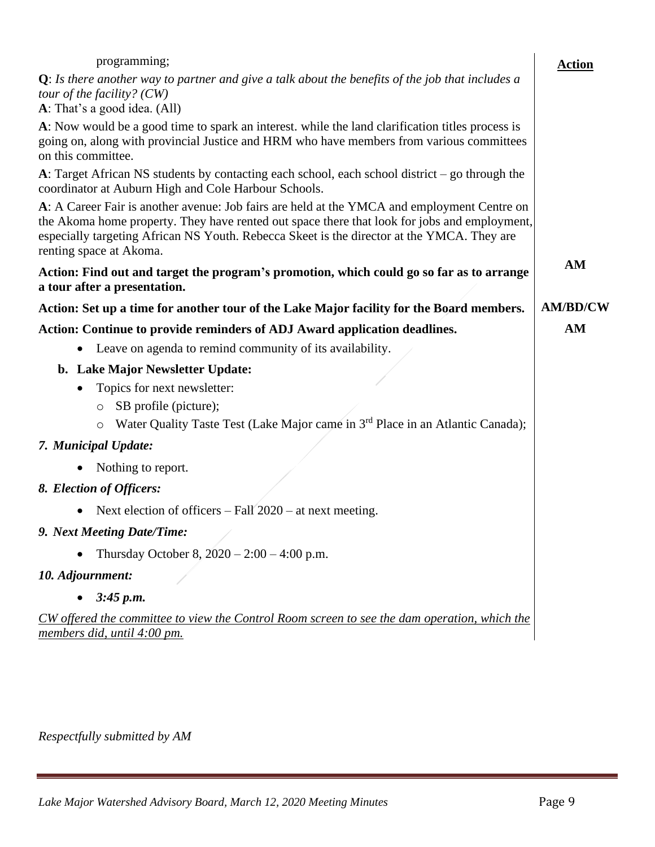| programming;                                                                                                                                                                                                                                                                                                         | <b>Action</b>   |  |
|----------------------------------------------------------------------------------------------------------------------------------------------------------------------------------------------------------------------------------------------------------------------------------------------------------------------|-----------------|--|
| $Q$ : Is there another way to partner and give a talk about the benefits of the job that includes a                                                                                                                                                                                                                  |                 |  |
| tour of the facility? $(CW)$<br>A: That's a good idea. (All)                                                                                                                                                                                                                                                         |                 |  |
| A: Now would be a good time to spark an interest. while the land clarification titles process is<br>going on, along with provincial Justice and HRM who have members from various committees<br>on this committee.                                                                                                   |                 |  |
| A: Target African NS students by contacting each school, each school district $-$ go through the<br>coordinator at Auburn High and Cole Harbour Schools.                                                                                                                                                             |                 |  |
| A: A Career Fair is another avenue: Job fairs are held at the YMCA and employment Centre on<br>the Akoma home property. They have rented out space there that look for jobs and employment,<br>especially targeting African NS Youth. Rebecca Skeet is the director at the YMCA. They are<br>renting space at Akoma. | AM              |  |
| Action: Find out and target the program's promotion, which could go so far as to arrange<br>a tour after a presentation.                                                                                                                                                                                             |                 |  |
| Action: Set up a time for another tour of the Lake Major facility for the Board members.                                                                                                                                                                                                                             | <b>AM/BD/CW</b> |  |
| Action: Continue to provide reminders of ADJ Award application deadlines.                                                                                                                                                                                                                                            | AM              |  |
| Leave on agenda to remind community of its availability.<br>$\bullet$                                                                                                                                                                                                                                                |                 |  |
| b. Lake Major Newsletter Update:                                                                                                                                                                                                                                                                                     |                 |  |
| Topics for next newsletter:                                                                                                                                                                                                                                                                                          |                 |  |
| SB profile (picture);<br>$\circ$                                                                                                                                                                                                                                                                                     |                 |  |
| Water Quality Taste Test (Lake Major came in 3 <sup>rd</sup> Place in an Atlantic Canada);<br>O                                                                                                                                                                                                                      |                 |  |
| 7. Municipal Update:                                                                                                                                                                                                                                                                                                 |                 |  |
| Nothing to report.                                                                                                                                                                                                                                                                                                   |                 |  |
| 8. Election of Officers:                                                                                                                                                                                                                                                                                             |                 |  |
| Next election of officers $-$ Fall 2020 $-$ at next meeting.                                                                                                                                                                                                                                                         |                 |  |
| 9. Next Meeting Date/Time:                                                                                                                                                                                                                                                                                           |                 |  |
| Thursday October 8, $2020 - 2:00 - 4:00$ p.m.                                                                                                                                                                                                                                                                        |                 |  |
| 10. Adjournment:                                                                                                                                                                                                                                                                                                     |                 |  |
| 3:45 p.m.                                                                                                                                                                                                                                                                                                            |                 |  |
| CW offered the committee to view the Control Room screen to see the dam operation, which the<br>members did, until 4:00 pm.                                                                                                                                                                                          |                 |  |
|                                                                                                                                                                                                                                                                                                                      |                 |  |

*Respectfully submitted by AM*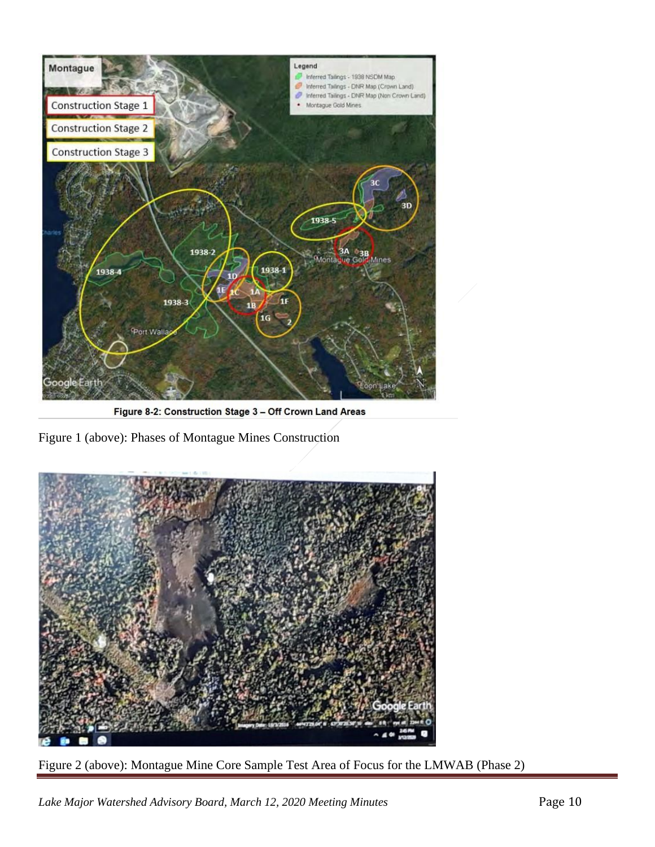

Figure 8-2: Construction Stage 3 - Off Crown Land Areas

<span id="page-9-1"></span><span id="page-9-0"></span>Figure 1 (above): Phases of Montague Mines Construction



Figure 2 (above): Montague Mine Core Sample Test Area of Focus for the LMWAB (Phase 2)